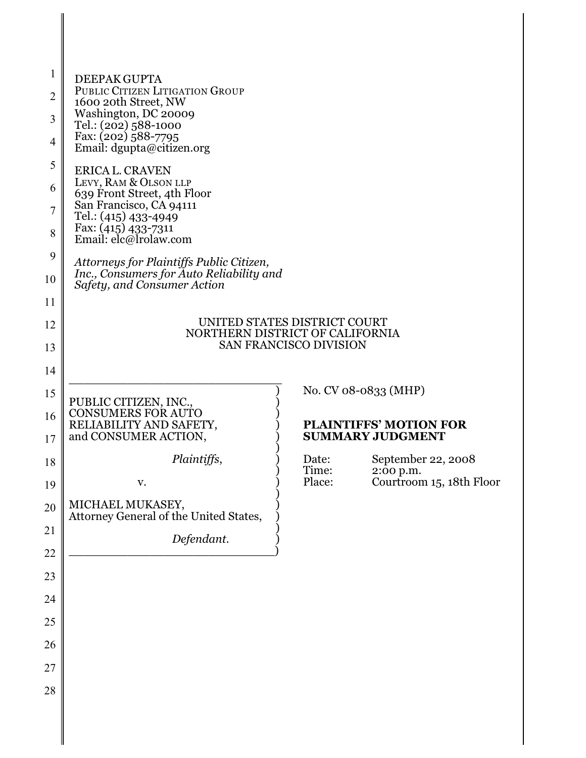| 1<br>$\overline{2}$<br>3<br>$\overline{4}$<br>5<br>6<br>$\overline{7}$<br>8<br>9 | DEEPAK GUPTA<br>PUBLIC CITIZEN LITIGATION GROUP<br>1600 20th Street, NW<br>Washington, DC 20009<br>Tel.: (202) 588-1000<br>Fax: (202) 588-7795<br>Email: dgupta@citizen.org<br><b>ERICA L. CRAVEN</b><br>LEVY, RAM & OLSON LLP<br>639 Front Street, 4th Floor<br>San Francisco, CA 94111<br>Tel.: (415) 433-4949<br>Fax: (415) 433-7311<br>Email: elc@lrolaw.com<br>Attorneys for Plaintiffs Public Citizen,<br>Inc., Consumers for Auto Reliability and |                 |                                                          |  |
|----------------------------------------------------------------------------------|----------------------------------------------------------------------------------------------------------------------------------------------------------------------------------------------------------------------------------------------------------------------------------------------------------------------------------------------------------------------------------------------------------------------------------------------------------|-----------------|----------------------------------------------------------|--|
| 10<br>11                                                                         | Safety, and Consumer Action                                                                                                                                                                                                                                                                                                                                                                                                                              |                 |                                                          |  |
| 12                                                                               | UNITED STATES DISTRICT COURT<br>NORTHERN DISTRICT OF CALIFORNIA<br><b>SAN FRANCISCO DIVISION</b>                                                                                                                                                                                                                                                                                                                                                         |                 |                                                          |  |
| 13                                                                               |                                                                                                                                                                                                                                                                                                                                                                                                                                                          |                 |                                                          |  |
| 14                                                                               |                                                                                                                                                                                                                                                                                                                                                                                                                                                          |                 |                                                          |  |
| 15                                                                               | PUBLIC CITIZEN, INC.,                                                                                                                                                                                                                                                                                                                                                                                                                                    |                 | No. CV 08-0833 (MHP)                                     |  |
| 16<br>17                                                                         | <b>CONSUMERS FOR AUTO</b><br>RELIABILITY AND SAFETY,<br>and CONSUMER ACTION,                                                                                                                                                                                                                                                                                                                                                                             |                 | <b>PLAINTIFFS' MOTION FOR</b><br><b>SUMMARY JUDGMENT</b> |  |
| 18                                                                               | Plaintiffs,                                                                                                                                                                                                                                                                                                                                                                                                                                              | Date:           | September 22, 2008                                       |  |
| 19                                                                               | v.                                                                                                                                                                                                                                                                                                                                                                                                                                                       | Time:<br>Place: | 2:00 p.m.<br>Courtroom 15, 18th Floor                    |  |
| 20                                                                               | MICHAEL MUKASEY,<br>Attorney General of the United States,                                                                                                                                                                                                                                                                                                                                                                                               |                 |                                                          |  |
| 21                                                                               | Defendant.                                                                                                                                                                                                                                                                                                                                                                                                                                               |                 |                                                          |  |
| 22                                                                               |                                                                                                                                                                                                                                                                                                                                                                                                                                                          |                 |                                                          |  |
| 23                                                                               |                                                                                                                                                                                                                                                                                                                                                                                                                                                          |                 |                                                          |  |
| 24                                                                               |                                                                                                                                                                                                                                                                                                                                                                                                                                                          |                 |                                                          |  |
| 25                                                                               |                                                                                                                                                                                                                                                                                                                                                                                                                                                          |                 |                                                          |  |
| 26                                                                               |                                                                                                                                                                                                                                                                                                                                                                                                                                                          |                 |                                                          |  |
| 27                                                                               |                                                                                                                                                                                                                                                                                                                                                                                                                                                          |                 |                                                          |  |
| 28                                                                               |                                                                                                                                                                                                                                                                                                                                                                                                                                                          |                 |                                                          |  |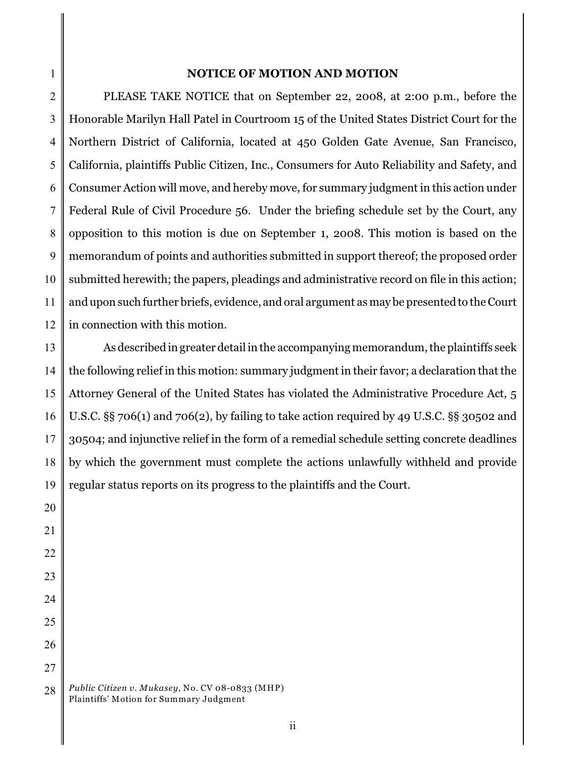### **NOTICE OF MOTION AND MOTION**

2 3 4 5 6 7 8 9 10 11 12 PLEASE TAKE NOTICE that on September 22, 2008, at 2:00 p.m., before the Honorable Marilyn Hall Patel in Courtroom 15 of the United States District Court for the Northern District of California, located at 450 Golden Gate Avenue, San Francisco, California, plaintiffs Public Citizen, Inc., Consumers for Auto Reliability and Safety, and Consumer Action will move, and hereby move, for summary judgment in this action under Federal Rule of Civil Procedure 56. Under the briefing schedule set by the Court, any opposition to this motion is due on September 1, 2008. This motion is based on the memorandum of points and authorities submitted in support thereof; the proposed order submitted herewith; the papers, pleadings and administrative record on file in this action; and upon such further briefs, evidence, and oral argument as may be presented to the Court in connection with this motion.

13 14 15 16 17 18 19 As described in greater detail in the accompanying memorandum, the plaintiffs seek the following relief in this motion: summary judgment in their favor; a declaration that the Attorney General of the United States has violated the Administrative Procedure Act, 5 U.S.C. §§ 706(1) and 706(2), by failing to take action required by 49 U.S.C. §§ 30502 and 30504; and injunctive relief in the form of a remedial schedule setting concrete deadlines by which the government must complete the actions unlawfully withheld and provide regular status reports on its progress to the plaintiffs and the Court.

26 27 28 *Public Citizen v. Mukasey*, No. CV 08-0833 (MHP) Plaintiffs' Motion for Summary Judgment

1

20

21

22

23

24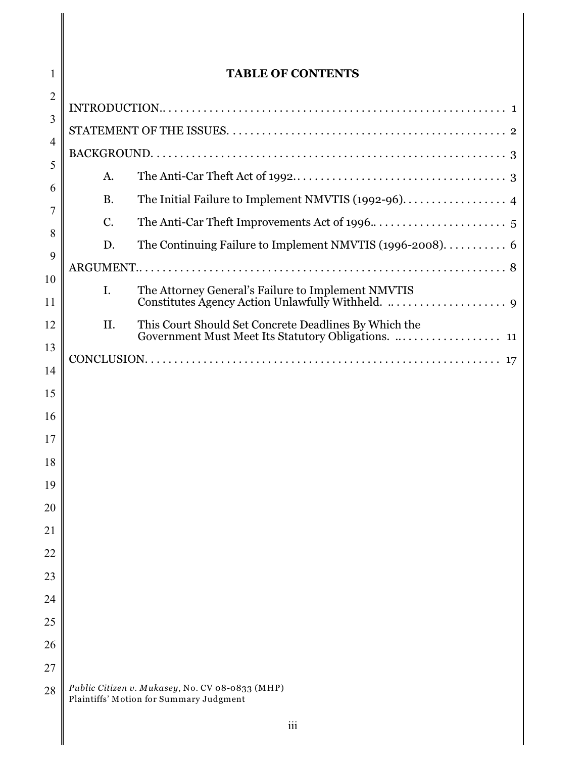| 1        | <b>TABLE OF CONTENTS</b> |                                                                                                              |  |
|----------|--------------------------|--------------------------------------------------------------------------------------------------------------|--|
| 2        |                          |                                                                                                              |  |
| 3        |                          |                                                                                                              |  |
| 4        |                          |                                                                                                              |  |
| 5        | A.                       |                                                                                                              |  |
| 6<br>7   | <b>B.</b>                | The Initial Failure to Implement NMVTIS (1992-96). 4                                                         |  |
| 8        | C.                       |                                                                                                              |  |
| 9        | D.                       | The Continuing Failure to Implement NMVTIS (1996-2008). 6                                                    |  |
| 10       |                          |                                                                                                              |  |
| 11       | I.                       | The Attorney General's Failure to Implement NMVTIS                                                           |  |
| 12       | II.                      | This Court Should Set Concrete Deadlines By Which the<br>Government Must Meet Its Statutory Obligations.  11 |  |
| 13       |                          |                                                                                                              |  |
| 14       |                          |                                                                                                              |  |
| 15       |                          |                                                                                                              |  |
| 16       |                          |                                                                                                              |  |
| 17       |                          |                                                                                                              |  |
| 18       |                          |                                                                                                              |  |
| 19       |                          |                                                                                                              |  |
| 20       |                          |                                                                                                              |  |
| 21       |                          |                                                                                                              |  |
| 22       |                          |                                                                                                              |  |
| 23<br>24 |                          |                                                                                                              |  |
| 25       |                          |                                                                                                              |  |
| 26       |                          |                                                                                                              |  |
| 27       |                          |                                                                                                              |  |
| 28       |                          | Public Citizen v. Mukasey, No. CV 08-0833 (MHP)<br>Plaintiffs' Motion for Summary Judgment                   |  |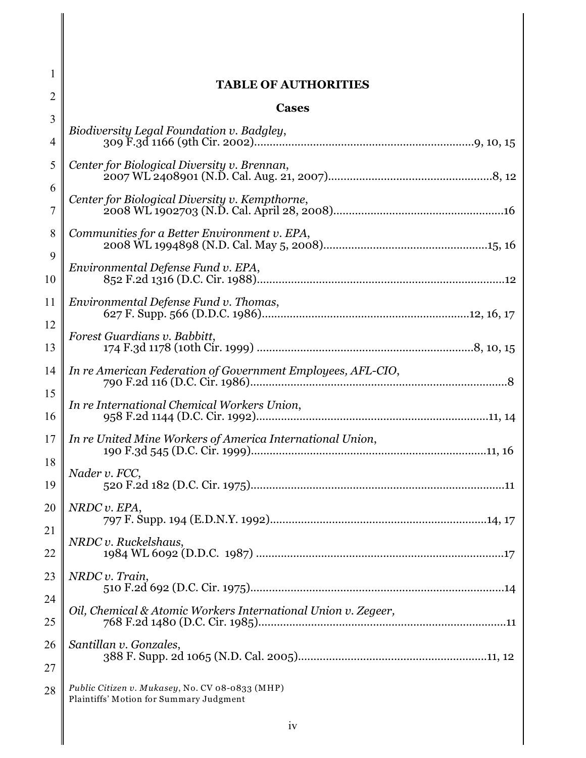| 2                   | <b>TABLE OF AUTHORITIES</b>                                                                |  |  |
|---------------------|--------------------------------------------------------------------------------------------|--|--|
| 3                   | <b>Cases</b>                                                                               |  |  |
| $\overline{4}$      | Biodiversity Legal Foundation v. Badgley,                                                  |  |  |
| 5                   | Center for Biological Diversity v. Brennan,                                                |  |  |
| 6<br>$\overline{7}$ | Center for Biological Diversity v. Kempthorne,                                             |  |  |
| 8                   | Communities for a Better Environment v. EPA,                                               |  |  |
| 9<br>10             | Environmental Defense Fund v. EPA,                                                         |  |  |
| 11                  | Environmental Defense Fund v. Thomas,                                                      |  |  |
| 12<br>13            | Forest Guardians v. Babbitt,                                                               |  |  |
| 14<br>15            | In re American Federation of Government Employees, AFL-CIO,                                |  |  |
| 16                  | In re International Chemical Workers Union,                                                |  |  |
| 17<br>18            | In re United Mine Workers of America International Union,                                  |  |  |
| 19                  | Nader v. FCC,                                                                              |  |  |
| 20<br>21            | NRDC v. EPA,                                                                               |  |  |
| 22                  | NRDC v. Ruckelshaus,                                                                       |  |  |
| 23<br>24            | NRDC v. Train,                                                                             |  |  |
| 25                  | Oil, Chemical & Atomic Workers International Union v. Zegeer,                              |  |  |
| 26<br>27            | Santillan v. Gonzales,                                                                     |  |  |
| 28                  | Public Citizen v. Mukasey, No. CV 08-0833 (MHP)<br>Plaintiffs' Motion for Summary Judgment |  |  |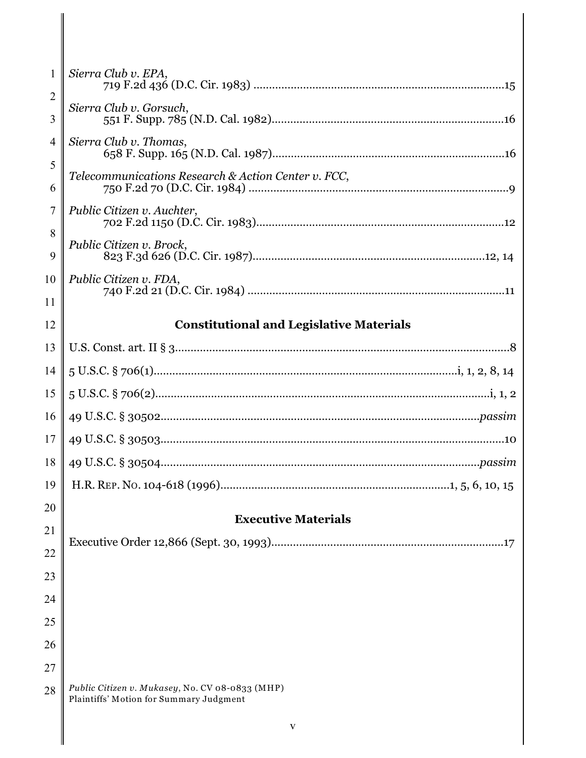| $\mathbf{1}$ | Sierra Club v. EPA,                                                                        |
|--------------|--------------------------------------------------------------------------------------------|
| 2<br>3       | Sierra Club v. Gorsuch,                                                                    |
| 4            | Sierra Club v. Thomas,                                                                     |
| 5<br>6       | Telecommunications Research & Action Center v. FCC,                                        |
| 7            | Public Citizen v. Auchter,                                                                 |
| 8<br>9       | Public Citizen v. Brock,                                                                   |
| 10           | Public Citizen v. FDA,                                                                     |
| 11           |                                                                                            |
| 12           | <b>Constitutional and Legislative Materials</b>                                            |
| 13           |                                                                                            |
| 14           |                                                                                            |
| 15           |                                                                                            |
| 16           |                                                                                            |
| 17           |                                                                                            |
| 18           |                                                                                            |
| 19           |                                                                                            |
| 20           | <b>Executive Materials</b>                                                                 |
| 21           |                                                                                            |
| 22           |                                                                                            |
| 23           |                                                                                            |
| 24           |                                                                                            |
| 25           |                                                                                            |
| 26           |                                                                                            |
| 27           |                                                                                            |
| 28           | Public Citizen v. Mukasey, No. CV 08-0833 (MHP)<br>Plaintiffs' Motion for Summary Judgment |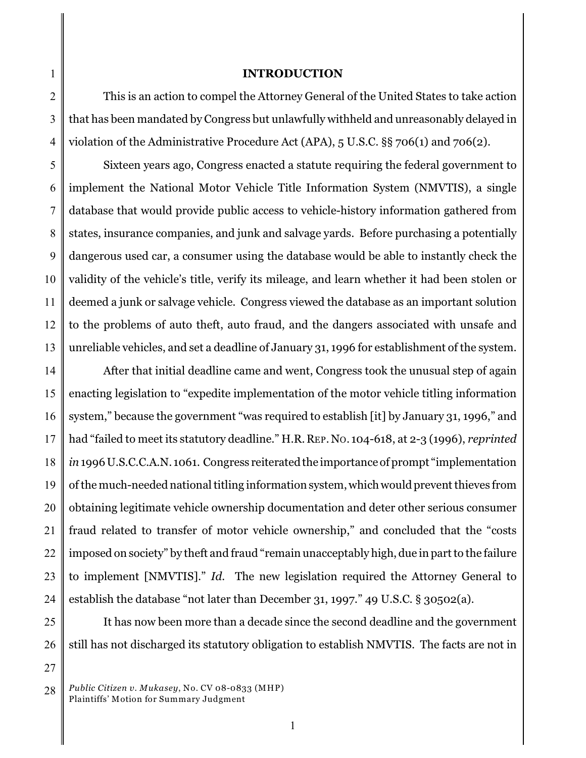### **INTRODUCTION**

2 3 4 This is an action to compel the Attorney General of the United States to take action that has been mandated by Congress but unlawfully withheld and unreasonably delayed in violation of the Administrative Procedure Act (APA), 5 U.S.C. §§ 706(1) and 706(2).

5 6 7 8 9 10 11 12 13 Sixteen years ago, Congress enacted a statute requiring the federal government to implement the National Motor Vehicle Title Information System (NMVTIS), a single database that would provide public access to vehicle-history information gathered from states, insurance companies, and junk and salvage yards. Before purchasing a potentially dangerous used car, a consumer using the database would be able to instantly check the validity of the vehicle's title, verify its mileage, and learn whether it had been stolen or deemed a junk or salvage vehicle. Congress viewed the database as an important solution to the problems of auto theft, auto fraud, and the dangers associated with unsafe and unreliable vehicles, and set a deadline of January 31, 1996 for establishment of the system.

14 15 16 17 18 19 20 21 22 23 24 After that initial deadline came and went, Congress took the unusual step of again enacting legislation to "expedite implementation of the motor vehicle titling information system," because the government "was required to establish [it] by January 31, 1996," and had "failed to meet its statutory deadline." H.R.REP.NO. 104-618, at 2-3 (1996), *reprinted in* 1996 U.S.C.C.A.N. 1061. Congress reiterated the importance of prompt "implementation of the much-needed national titling information system, which would prevent thieves from obtaining legitimate vehicle ownership documentation and deter other serious consumer fraud related to transfer of motor vehicle ownership," and concluded that the "costs imposed on society" by theft and fraud "remain unacceptably high, due in part to the failure to implement [NMVTIS]." *Id.* The new legislation required the Attorney General to establish the database "not later than December 31, 1997." 49 U.S.C. § 30502(a).

25 26 It has now been more than a decade since the second deadline and the government still has not discharged its statutory obligation to establish NMVTIS. The facts are not in

27

<sup>28</sup> *Public Citizen v. Mukasey*, No. CV 08-0833 (MHP) Plaintiffs' Motion for Summary Judgment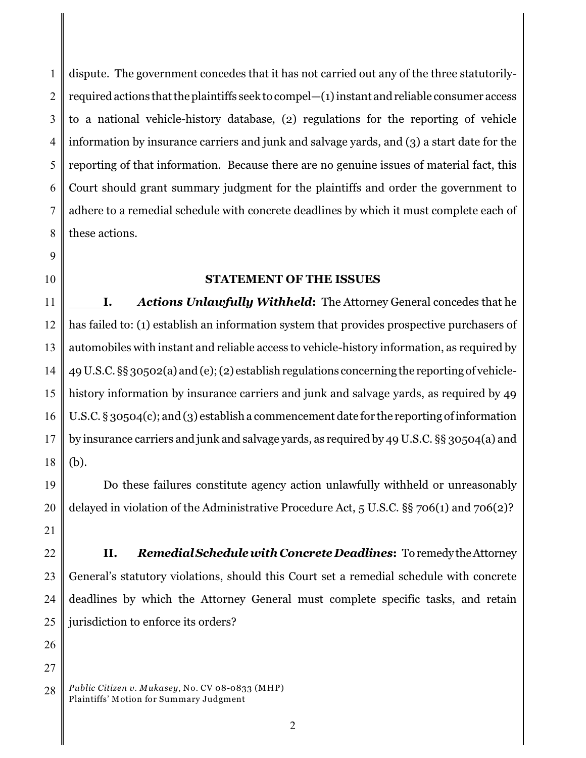1 2 3 4 5 6 7 8 dispute. The government concedes that it has not carried out any of the three statutorilyrequired actions that the plaintiffs seek to compel—(1) instant and reliable consumer access to a national vehicle-history database, (2) regulations for the reporting of vehicle information by insurance carriers and junk and salvage yards, and (3) a start date for the reporting of that information. Because there are no genuine issues of material fact, this Court should grant summary judgment for the plaintiffs and order the government to adhere to a remedial schedule with concrete deadlines by which it must complete each of these actions.

9 10

### **STATEMENT OF THE ISSUES**

11 12 13 14 15 16 17 18 **I.** *Actions Unlawfully Withheld***:** The Attorney General concedes that he has failed to: (1) establish an information system that provides prospective purchasers of automobiles with instant and reliable access to vehicle-history information, as required by 49 U.S.C. §§ 30502(a) and (e); (2) establish regulations concerning the reporting of vehiclehistory information by insurance carriers and junk and salvage yards, as required by 49 U.S.C. § 30504(c); and (3) establish a commencement date for the reporting of information by insurance carriers and junk and salvage yards, as required by 49 U.S.C. §§ 30504(a) and (b).

19 20 Do these failures constitute agency action unlawfully withheld or unreasonably delayed in violation of the Administrative Procedure Act, 5 U.S.C. §§ 706(1) and 706(2)?

- 21
- 22

23 24 25 **II.** *Remedial Schedule with Concrete Deadlines***:** To remedy the Attorney General's statutory violations, should this Court set a remedial schedule with concrete deadlines by which the Attorney General must complete specific tasks, and retain jurisdiction to enforce its orders?

- 26
- 27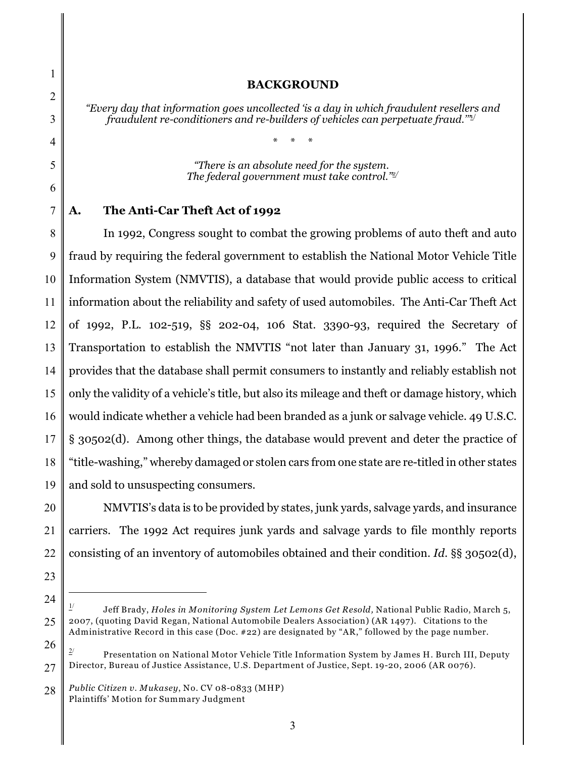### **BACKGROUND**

*"Every day that information goes uncollected 'is a day in which fraudulent resellers and fraudulent re-conditioners and re-builders of vehicles can perpetuate fraud.'"*1/

\* \* \*

*"There is an absolute need for the system. The federal government must take control."2/*

### **A. The Anti-Car Theft Act of 1992**

8 9 10 11 12 13 14 15 16 17 18 19 In 1992, Congress sought to combat the growing problems of auto theft and auto fraud by requiring the federal government to establish the National Motor Vehicle Title Information System (NMVTIS), a database that would provide public access to critical information about the reliability and safety of used automobiles. The Anti-Car Theft Act of 1992, P.L. 102-519, §§ 202-04, 106 Stat. 3390-93, required the Secretary of Transportation to establish the NMVTIS "not later than January 31, 1996." The Act provides that the database shall permit consumers to instantly and reliably establish not only the validity of a vehicle's title, but also its mileage and theft or damage history, which would indicate whether a vehicle had been branded as a junk or salvage vehicle. 49 U.S.C. § 30502(d). Among other things, the database would prevent and deter the practice of "title-washing," whereby damaged or stolen cars from one state are re-titled in other states and sold to unsuspecting consumers.

20 NMVTIS's data is to be provided by states, junk yards, salvage yards, and insurance carriers. The 1992 Act requires junk yards and salvage yards to file monthly reports consisting of an inventory of automobiles obtained and their condition. *Id.* §§ 30502(d),

- 23
- 

Jeff Brady, *Holes in Monitoring System Let Lemons Get Resold,* National Public Radio, March 5,  $1/$ 2007, (quoting David Regan, National Automobile Dealers Association) (AR 1497). Citations to the Administrative Record in this case (Doc. #22) are designated by "AR," followed by the page number.

<sup>26</sup> 27  $\frac{2}{3}$  Presentation on National Motor Vehicle Title Information System by James H. Burch III, Deputy Director, Bureau of Justice Assistance, U.S. Department of Justice, Sept. 19-20, 2006 (AR 0076).

<sup>28</sup> *Public Citizen v. Mukasey*, No. CV 08-0833 (MHP) Plaintiffs' Motion for Summary Judgment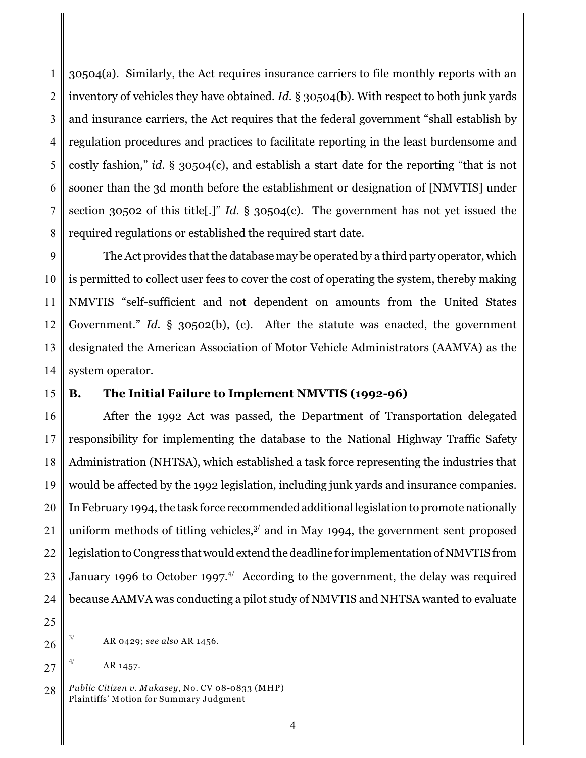1 2 3 4 5 6 7 8 30504(a). Similarly, the Act requires insurance carriers to file monthly reports with an inventory of vehicles they have obtained. *Id.* § 30504(b). With respect to both junk yards and insurance carriers, the Act requires that the federal government "shall establish by regulation procedures and practices to facilitate reporting in the least burdensome and costly fashion," *id.* § 30504(c), and establish a start date for the reporting "that is not sooner than the 3d month before the establishment or designation of [NMVTIS] under section 30502 of this title[.]" *Id.* § 30504(c). The government has not yet issued the required regulations or established the required start date.

9 10 11 12 13 14 The Act provides that the database may be operated by a third party operator, which is permitted to collect user fees to cover the cost of operating the system, thereby making NMVTIS "self-sufficient and not dependent on amounts from the United States Government." *Id.* § 30502(b), (c). After the statute was enacted, the government designated the American Association of Motor Vehicle Administrators (AAMVA) as the system operator.

### 15

### **B. The Initial Failure to Implement NMVTIS (1992-96)**

16 17 18 19 20 21 22 23 24 After the 1992 Act was passed, the Department of Transportation delegated responsibility for implementing the database to the National Highway Traffic Safety Administration (NHTSA), which established a task force representing the industries that would be affected by the 1992 legislation, including junk yards and insurance companies. In February 1994, the task force recommended additional legislation to promote nationally uniform methods of titling vehicles, $3/$  and in May 1994, the government sent proposed legislation to Congress that would extend the deadline for implementation of NMVTIS from January 1996 to October 1997. $4/$  According to the government, the delay was required because AAMVA was conducting a pilot study of NMVTIS and NHTSA wanted to evaluate

25

26

27 AR 1457. 4/

 $\frac{3}{2}$  AR 0429; *see also* AR 1456.

<sup>28</sup> *Public Citizen v. Mukasey*, No. CV 08-0833 (MHP) Plaintiffs' Motion for Summary Judgment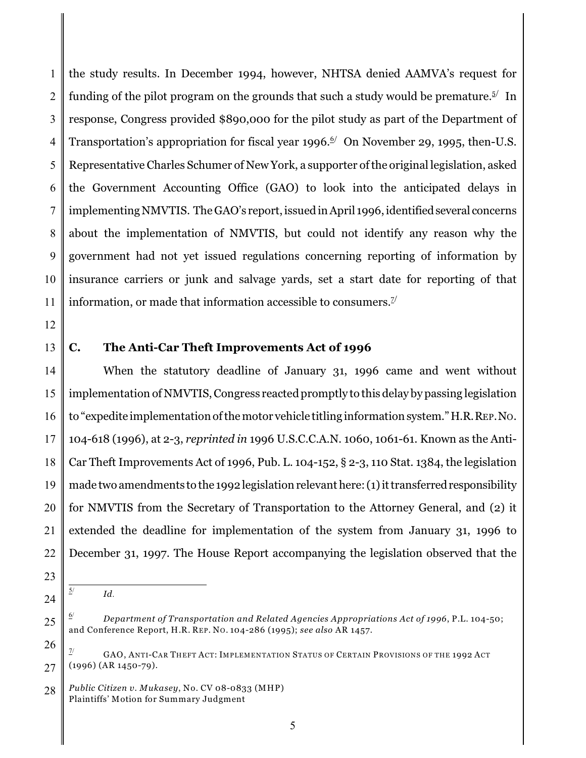1 2 3 4 5 6 7 8 9 10 11 the study results. In December 1994, however, NHTSA denied AAMVA's request for funding of the pilot program on the grounds that such a study would be premature.<sup> $5/$ </sup> In response, Congress provided \$890,000 for the pilot study as part of the Department of Transportation's appropriation for fiscal year 1996.<sup> $\frac{6}{ }$ </sup> On November 29, 1995, then-U.S. Representative Charles Schumer of New York, a supporter of the original legislation, asked the Government Accounting Office (GAO) to look into the anticipated delays in implementing NMVTIS. The GAO's report, issued in April 1996, identified several concerns about the implementation of NMVTIS, but could not identify any reason why the government had not yet issued regulations concerning reporting of information by insurance carriers or junk and salvage yards, set a start date for reporting of that information, or made that information accessible to consumers. $Z^{\prime}$ 

12

13

### **C. The Anti-Car Theft Improvements Act of 1996**

14 15 16 17 18 19 20 21 22 When the statutory deadline of January 31, 1996 came and went without implementation of NMVTIS, Congress reacted promptly to this delay by passing legislation to "expedite implementation of the motor vehicle titling information system." H.R.REP.NO. 104-618 (1996), at 2-3, *reprinted in* 1996 U.S.C.C.A.N. 1060, 1061-61. Known as the Anti-Car Theft Improvements Act of 1996, Pub. L. 104-152, § 2-3, 110 Stat. 1384, the legislation made two amendments to the 1992 legislation relevant here: (1) it transferred responsibility for NMVTIS from the Secretary of Transportation to the Attorney General, and (2) it extended the deadline for implementation of the system from January 31, 1996 to December 31, 1997. The House Report accompanying the legislation observed that the

23

24

5/

*Id.*

<sup>25</sup> *Department of Transportation and Related Agencies Appropriations Act of 1996*, P.L. 104-50; 6/ and Conference Report, H.R. REP. NO. 104-286 (1995); *see also* AR 1457.

<sup>26</sup> 27 GAO, ANTI-CAR THEFT ACT: IMPLEMENTATION STATUS OF CERTAIN PROVISIONS OF THE 1992 ACT (1996) (AR 1450-79).

<sup>28</sup> *Public Citizen v. Mukasey*, No. CV 08-0833 (MHP) Plaintiffs' Motion for Summary Judgment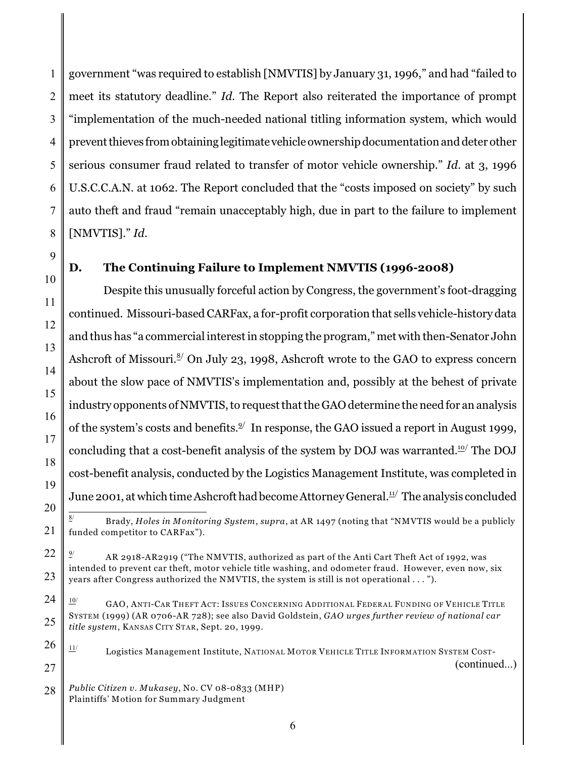1 2 3 4 5 6 7 8 government "was required to establish [NMVTIS] by January 31, 1996," and had "failed to meet its statutory deadline." *Id.* The Report also reiterated the importance of prompt "implementation of the much-needed national titling information system, which would prevent thieves from obtaining legitimate vehicle ownership documentation and deter other serious consumer fraud related to transfer of motor vehicle ownership." *Id.* at 3, 1996 U.S.C.C.A.N. at 1062. The Report concluded that the "costs imposed on society" by such auto theft and fraud "remain unacceptably high, due in part to the failure to implement [NMVTIS]." *Id.* 

# 9

10

11

12

13

14

15

16

17

18

19

## **D. The Continuing Failure to Implement NMVTIS (1996-2008)**

Despite this unusually forceful action by Congress, the government's foot-dragging continued. Missouri-based CARFax, a for-profit corporation that sells vehicle-history data and thus has "a commercial interest in stopping the program," met with then-Senator John Ashcroft of Missouri.<sup> $\frac{8}{2}$ </sup> On July 23, 1998, Ashcroft wrote to the GAO to express concern about the slow pace of NMVTIS's implementation and, possibly at the behest of private industry opponents of NMVTIS, to request that the GAO determine the need for an analysis of the system's costs and benefits. $^{2/}$  In response, the GAO issued a report in August 1999, concluding that a cost-benefit analysis of the system by DOJ was warranted. $^{\text{10}}$  The DOJ cost-benefit analysis, conducted by the Logistics Management Institute, was completed in June 2001, at which time Ashcroft had become Attorney General. $1/1/2$  The analysis concluded

20 21

 Brady, *Holes in Monitoring System*, *supra*, at AR 1497 (noting that "NMVTIS would be a publicly 8/ funded competitor to CARFax").

22 23 AR 2918-AR2919 ("The NMVTIS, authorized as part of the Anti Cart Theft Act of 1992, was 9/ intended to prevent car theft, motor vehicle title washing, and odometer fraud. However, even now, six years after Congress authorized the NMVTIS, the system is still is not operational . . . ").

24 25  $\frac{10}{10}$  GAO, Anti-Car Theft Act: Issues Concerning Additional Federal Funding of Vehicle Title SYSTEM (1999) (AR 0706-AR 728); see also David Goldstein, *GAO urges further review of national car title system*, KANSAS CITY STAR, Sept. 20, 1999.

#### 26 27 Logistics Management Institute, NATIONAL MOTOR VEHICLE TITLE INFORMATION SYSTEM COST- $11/$ (continued...)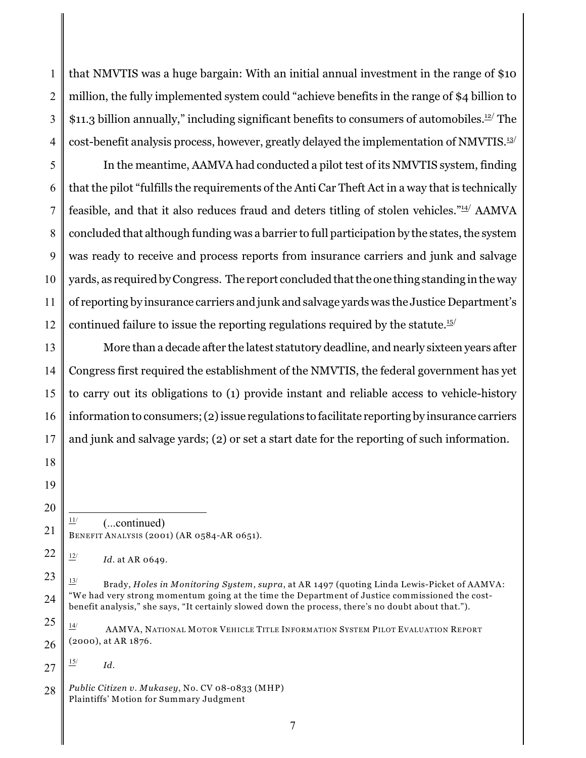1 2 3 4 that NMVTIS was a huge bargain: With an initial annual investment in the range of \$10 million, the fully implemented system could "achieve benefits in the range of \$4 billion to \$11.3 billion annually," including significant benefits to consumers of automobiles.<sup>12/</sup> The cost-benefit analysis process, however, greatly delayed the implementation of NMVTIS.<sup>13/</sup>

5 6 7 8 9 10 11 12 In the meantime, AAMVA had conducted a pilot test of its NMVTIS system, finding that the pilot "fulfills the requirements of the Anti Car Theft Act in a way that is technically feasible, and that it also reduces fraud and deters titling of stolen vehicles." $4/4$  AMVA concluded that although funding was a barrier to full participation by the states, the system was ready to receive and process reports from insurance carriers and junk and salvage yards, as required by Congress. The report concluded that the one thing standing in the way of reporting by insurance carriers and junk and salvage yards was the Justice Department's continued failure to issue the reporting regulations required by the statute.<sup>15/</sup>

13 14 15 16 17 More than a decade after the latest statutory deadline, and nearly sixteen years after Congress first required the establishment of the NMVTIS, the federal government has yet to carry out its obligations to (1) provide instant and reliable access to vehicle-history information to consumers; (2) issue regulations to facilitate reporting by insurance carriers and junk and salvage yards; (2) or set a start date for the reporting of such information.

18

19 20

21

 $\frac{11}{1}$  (...continued) BENEFIT ANALYSIS (2001) (AR 0584-AR 0651).

27  $\frac{15}{10}$  *Id.* 

<sup>22</sup>  $\frac{12}{12}$  *Id.* at AR 0649.

<sup>23</sup> 24 Brady, *Holes in Monitoring System*, *supra*, at AR 1497 (quoting Linda Lewis-Picket of AAMVA: 13/ "We had very strong momentum going at the time the Department of Justice commissioned the costbenefit analysis," she says, "It certainly slowed down the process, there's no doubt about that.").

<sup>25</sup> 26  $\frac{14}{10}$  AAMVA, NATIONAL MOTOR VEHICLE TITLE INFORMATION SYSTEM PILOT EVALUATION REPORT (2000), at AR 1876.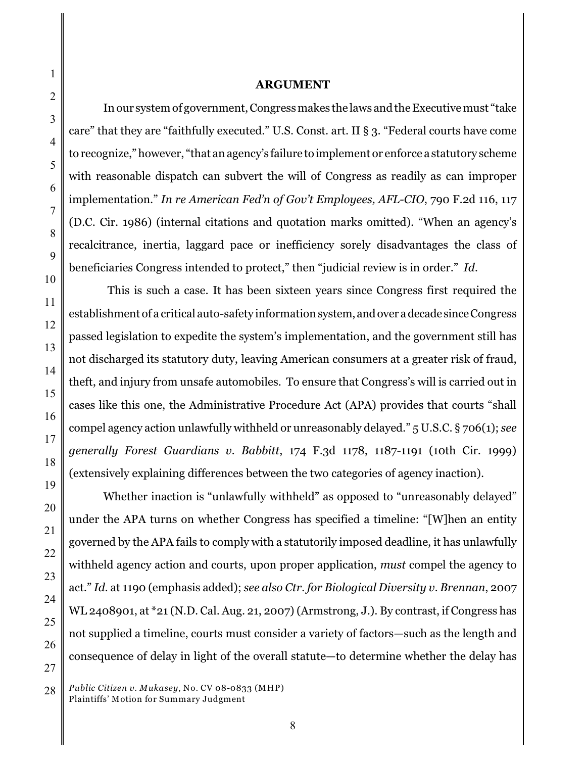### **ARGUMENT**

In our system of government, Congressmakes the laws andthe Executive must "take care" that they are "faithfully executed." U.S. Const. art. II § 3. "Federal courts have come to recognize," however, "that an agency's failure to implement or enforce a statutory scheme with reasonable dispatch can subvert the will of Congress as readily as can improper implementation." *In re American Fed'n of Gov't Employees, AFL-CIO*, 790 F.2d 116, 117 (D.C. Cir. 1986) (internal citations and quotation marks omitted). "When an agency's recalcitrance, inertia, laggard pace or inefficiency sorely disadvantages the class of beneficiaries Congress intended to protect," then "judicial review is in order." *Id.*

 This is such a case. It has been sixteen years since Congress first required the establishment of a critical auto-safety information system, and over a decade since Congress passed legislation to expedite the system's implementation, and the government still has not discharged its statutory duty, leaving American consumers at a greater risk of fraud, theft, and injury from unsafe automobiles. To ensure that Congress's will is carried out in cases like this one, the Administrative Procedure Act (APA) provides that courts "shall compel agency action unlawfully withheld or unreasonably delayed." 5 U.S.C. § 706(1); *see generally Forest Guardians v. Babbitt*, 174 F.3d 1178, 1187-1191 (10th Cir. 1999) (extensively explaining differences between the two categories of agency inaction).

Whether inaction is "unlawfully withheld" as opposed to "unreasonably delayed" under the APA turns on whether Congress has specified a timeline: "[W]hen an entity governed by the APA fails to comply with a statutorily imposed deadline, it has unlawfully withheld agency action and courts, upon proper application, *must* compel the agency to act." *Id.* at 1190 (emphasis added); *see also Ctr. for Biological Diversity v. Brennan*, 2007 WL 2408901, at \*21 (N.D. Cal. Aug. 21, 2007) (Armstrong, J.). By contrast, if Congress has not supplied a timeline, courts must consider a variety of factors—such as the length and consequence of delay in light of the overall statute—to determine whether the delay has

28 *Public Citizen v. Mukasey*, No. CV 08-0833 (MHP) Plaintiffs' Motion for Summary Judgment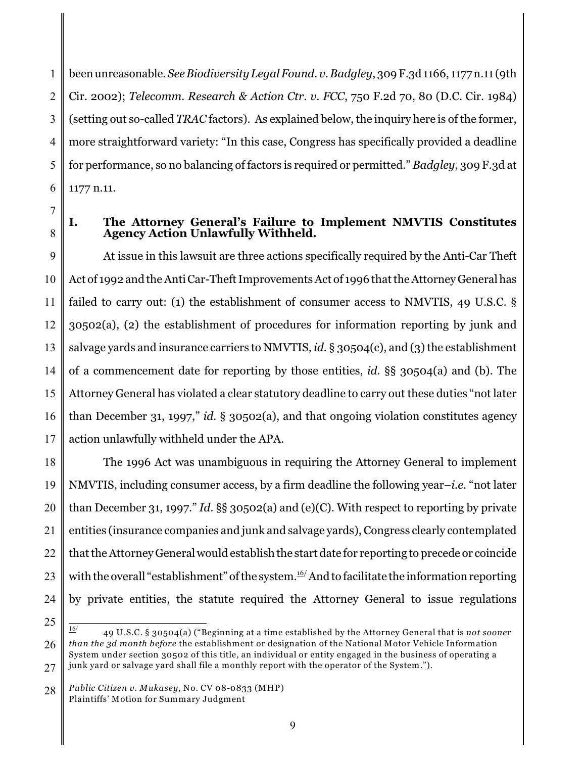1 2 3 4 5 6 been unreasonable. *See Biodiversity Legal Found. v. Badgley*, 309 F.3d 1166, 1177 n.11 (9th Cir. 2002); *Telecomm. Research & Action Ctr. v. FCC*, 750 F.2d 70, 80 (D.C. Cir. 1984) (setting out so-called *TRAC* factors). As explained below, the inquiry here is of the former, more straightforward variety: "In this case, Congress has specifically provided a deadline for performance, so no balancing of factors is required or permitted." *Badgley*, 309 F.3d at 1177 n.11.

7

8

## **I. The Attorney General's Failure to Implement NMVTIS Constitutes Agency Action Unlawfully Withheld.**

9 10 11 12 13 14 15 16 17 At issue in this lawsuit are three actions specifically required by the Anti-Car Theft Act of 1992 and the Anti Car-Theft Improvements Act of 1996 that the Attorney General has failed to carry out: (1) the establishment of consumer access to NMVTIS, 49 U.S.C. § 30502(a), (2) the establishment of procedures for information reporting by junk and salvage yards and insurance carriers to NMVTIS, *id.* § 30504(c), and (3) the establishment of a commencement date for reporting by those entities, *id.* §§ 30504(a) and (b). The Attorney General has violated a clear statutory deadline to carry out these duties "not later than December 31, 1997," *id.* § 30502(a), and that ongoing violation constitutes agency action unlawfully withheld under the APA.

18 19 20 21 22 23 24 The 1996 Act was unambiguous in requiring the Attorney General to implement NMVTIS, including consumer access, by a firm deadline the following year–*i.e.* "not later than December 31, 1997." *Id.* §§ 30502(a) and (e)(C). With respect to reporting by private entities (insurance companies and junk and salvage yards), Congress clearly contemplated that the Attorney General would establish the start date for reporting to precede or coincide with the overall "establishment" of the system. $^{16/2}$  And to facilitate the information reporting by private entities, the statute required the Attorney General to issue regulations

<sup>25</sup>

<sup>26</sup> 27 49 U.S.C. § 30504(a) ("Beginning at a time established by the Attorney General that is *not sooner* 16/ *than the 3d month before* the establishment or designation of the National Motor Vehicle Information System under section 30502 of this title, an individual or entity engaged in the business of operating a junk yard or salvage yard shall file a monthly report with the operator of the System.").

<sup>28</sup> *Public Citizen v. Mukasey*, No. CV 08-0833 (MHP) Plaintiffs' Motion for Summary Judgment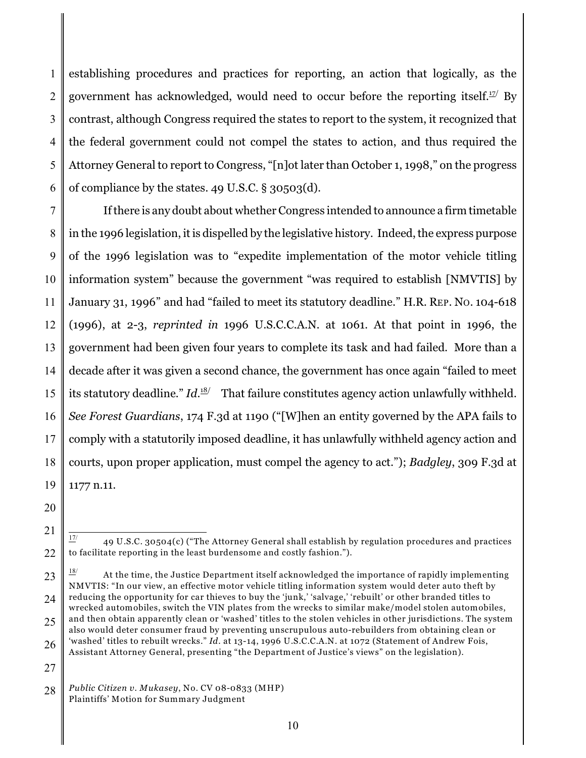1 2 3 4 5 6 establishing procedures and practices for reporting, an action that logically, as the government has acknowledged, would need to occur before the reporting itself.<sup> $12$ </sup> By contrast, although Congress required the states to report to the system, it recognized that the federal government could not compel the states to action, and thus required the Attorney General to report to Congress, "[n]ot later than October 1, 1998," on the progress of compliance by the states. 49 U.S.C. § 30503(d).

7 8 9 10 11 12 13 14 15 16 17 18 19 If there is any doubt about whether Congress intended to announce a firm timetable in the 1996 legislation, it is dispelled by the legislative history. Indeed, the express purpose of the 1996 legislation was to "expedite implementation of the motor vehicle titling information system" because the government "was required to establish [NMVTIS] by January 31, 1996" and had "failed to meet its statutory deadline." H.R. REP. NO. 104-618 (1996), at 2-3, *reprinted in* 1996 U.S.C.C.A.N. at 1061. At that point in 1996, the government had been given four years to complete its task and had failed. More than a decade after it was given a second chance, the government has once again "failed to meet its statutory deadline." *Id.*<sup>18</sup> That failure constitutes agency action unlawfully withheld. *See Forest Guardians*, 174 F.3d at 1190 ("[W]hen an entity governed by the APA fails to comply with a statutorily imposed deadline, it has unlawfully withheld agency action and courts, upon proper application, must compel the agency to act."); *Badgley*, 309 F.3d at 1177 n.11.

20

21

<sup>22</sup> 49 U.S.C. 30504(c) ("The Attorney General shall establish by regulation procedures and practices 17/ to facilitate reporting in the least burdensome and costly fashion.").

<sup>23</sup> 24 25 18/ At the time, the Justice Department itself acknowledged the importance of rapidly implementing NMVTIS: "In our view, an effective motor vehicle titling information system would deter auto theft by reducing the opportunity for car thieves to buy the 'junk,' 'salvage,' 'rebuilt' or other branded titles to wrecked automobiles, switch the VIN plates from the wrecks to similar make/model stolen automobiles, and then obtain apparently clean or 'washed' titles to the stolen vehicles in other jurisdictions. The system

<sup>26</sup> also would deter consumer fraud by preventing unscrupulous auto-rebuilders from obtaining clean or 'washed' titles to rebuilt wrecks." *Id.* at 13-14, 1996 U.S.C.C.A.N. at 1072 (Statement of Andrew Fois, Assistant Attorney General, presenting "the Department of Justice's views" on the legislation).

<sup>28</sup> *Public Citizen v. Mukasey*, No. CV 08-0833 (MHP) Plaintiffs' Motion for Summary Judgment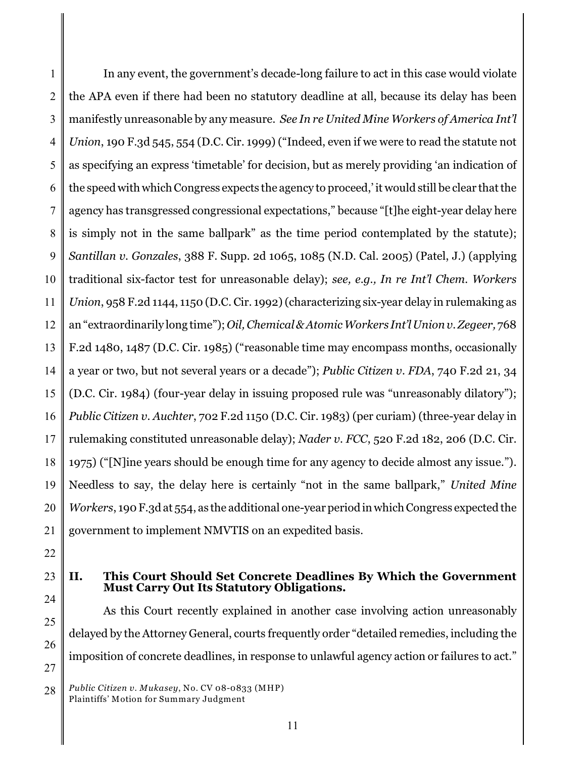1 2 3 4 5 6 7 8 9 10 11 12 13 14 15 16 17 18 19 20 21 In any event, the government's decade-long failure to act in this case would violate the APA even if there had been no statutory deadline at all, because its delay has been manifestly unreasonable by any measure. *See In re United Mine Workers of America Int'l Union*, 190 F.3d 545, 554 (D.C. Cir. 1999) ("Indeed, even if we were to read the statute not as specifying an express 'timetable' for decision, but as merely providing 'an indication of the speed with which Congress expects the agency to proceed,' it would still be clear that the agency has transgressed congressional expectations," because "[t]he eight-year delay here is simply not in the same ballpark" as the time period contemplated by the statute); *Santillan v. Gonzales*, 388 F. Supp. 2d 1065, 1085 (N.D. Cal. 2005) (Patel, J.) (applying traditional six-factor test for unreasonable delay); *see, e.g., In re Int'l Chem. Workers Union*, 958 F.2d 1144, 1150 (D.C. Cir. 1992) (characterizing six-year delay in rulemaking as an "extraordinarily long time"); *Oil, Chemical & Atomic Workers Int'l Union v. Zegeer,* 768 F.2d 1480, 1487 (D.C. Cir. 1985) ("reasonable time may encompass months, occasionally a year or two, but not several years or a decade"); *Public Citizen v. FDA*, 740 F.2d 21, 34 (D.C. Cir. 1984) (four-year delay in issuing proposed rule was "unreasonably dilatory"); *Public Citizen v. Auchter*, 702 F.2d 1150 (D.C. Cir. 1983) (per curiam) (three-year delay in rulemaking constituted unreasonable delay); *Nader v. FCC*, 520 F.2d 182, 206 (D.C. Cir. 1975) ("[N]ine years should be enough time for any agency to decide almost any issue."). Needless to say, the delay here is certainly "not in the same ballpark," *United Mine Workers*, 190 F.3d at 554, as the additional one-year periodin which Congress expected the government to implement NMVTIS on an expedited basis.

22

25

26

27

### 23 24 **II. This Court Should Set Concrete Deadlines By Which the Government Must Carry Out Its Statutory Obligations.**

As this Court recently explained in another case involving action unreasonably delayed by the Attorney General, courts frequently order "detailed remedies, including the imposition of concrete deadlines, in response to unlawful agency action or failures to act."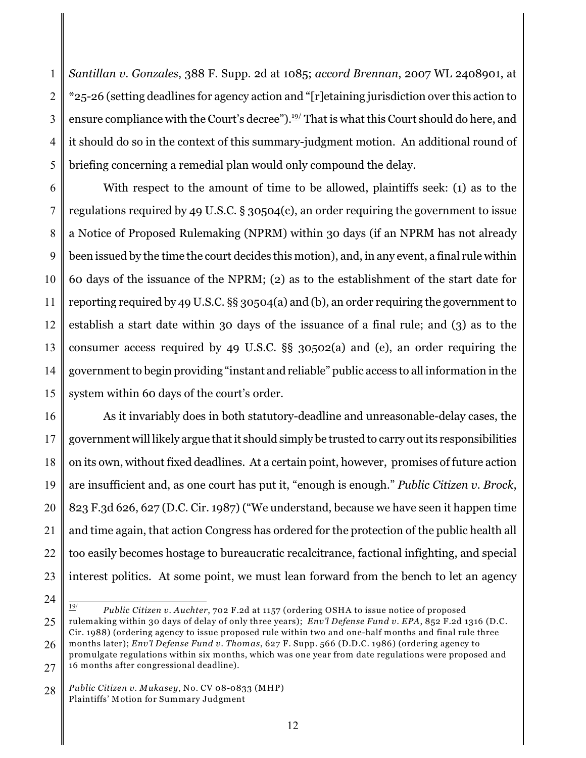1 2 3 4 5 *Santillan v. Gonzales*, 388 F. Supp. 2d at 1085; *accord Brennan*, 2007 WL 2408901, at \*25-26 (setting deadlines for agency action and "[r]etaining jurisdiction over this action to ensure compliance with the Court's decree").<del>'''</del> That is what this Court should do here, and it should do so in the context of this summary-judgment motion. An additional round of briefing concerning a remedial plan would only compound the delay.

6 7 8 9 10 11 12 13 14 15 With respect to the amount of time to be allowed, plaintiffs seek: (1) as to the regulations required by 49 U.S.C. § 30504(c), an order requiring the government to issue a Notice of Proposed Rulemaking (NPRM) within 30 days (if an NPRM has not already been issued by the time the court decides this motion), and, in any event, a final rule within 60 days of the issuance of the NPRM; (2) as to the establishment of the start date for reporting required by 49 U.S.C. §§ 30504(a) and (b), an order requiring the government to establish a start date within 30 days of the issuance of a final rule; and (3) as to the consumer access required by 49 U.S.C. §§ 30502(a) and (e), an order requiring the government to begin providing "instant and reliable" public access to all information in the system within 60 days of the court's order.

16 17 18 19 20 21 22 23 As it invariably does in both statutory-deadline and unreasonable-delay cases, the government will likely argue that it should simply be trusted to carry out its responsibilities on its own, without fixed deadlines. At a certain point, however, promises of future action are insufficient and, as one court has put it, "enough is enough." *Public Citizen v. Brock*, 823 F.3d 626, 627 (D.C. Cir. 1987) ("We understand, because we have seen it happen time and time again, that action Congress has ordered for the protection of the public health all too easily becomes hostage to bureaucratic recalcitrance, factional infighting, and special interest politics. At some point, we must lean forward from the bench to let an agency

24

25

*Public Citizen v. Auchter, 702 F.2d at 1157 (ordering OSHA to issue notice of proposed* rulemaking within 30 days of delay of only three years); *Env'l Defense Fund v. EPA*, 852 F.2d 1316 (D.C.

<sup>26</sup> 27 Cir. 1988) (ordering agency to issue proposed rule within two and one-half months and final rule three months later); *Env'l Defense Fund v. Thomas*, 627 F. Supp. 566 (D.D.C. 1986) (ordering agency to promulgate regulations within six months, which was one year from date regulations were proposed and 16 months after congressional deadline).

<sup>28</sup> *Public Citizen v. Mukasey*, No. CV 08-0833 (MHP) Plaintiffs' Motion for Summary Judgment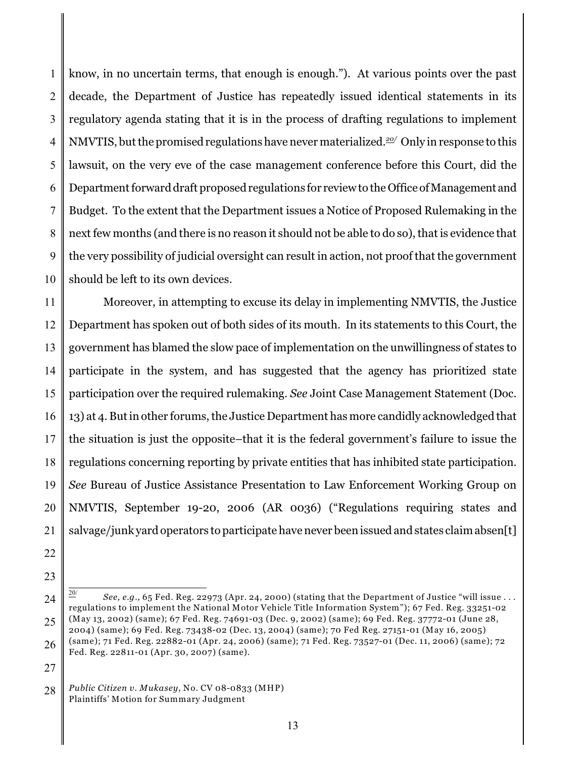1 2 3 4 5 6 7 8 9 10 know, in no uncertain terms, that enough is enough."). At various points over the past decade, the Department of Justice has repeatedly issued identical statements in its regulatory agenda stating that it is in the process of drafting regulations to implement NMVTIS, but the promised regulations have never materialized.<sup>20</sup>/ Only in response to this lawsuit, on the very eve of the case management conference before this Court, did the Department forward draft proposed regulations for review to the Office of Management and Budget. To the extent that the Department issues a Notice of Proposed Rulemaking in the next few months (and there is no reason it should not be able to do so), that is evidence that the very possibility of judicial oversight can result in action, not proof that the government should be left to its own devices.

11 12 13 14 15 16 17 18 19 20 21 Moreover, in attempting to excuse its delay in implementing NMVTIS, the Justice Department has spoken out of both sides of its mouth. In its statements to this Court, the government has blamed the slow pace of implementation on the unwillingness of states to participate in the system, and has suggested that the agency has prioritized state participation over the required rulemaking. *See* Joint Case Management Statement (Doc. 13) at 4. But in other forums, the Justice Department has more candidly acknowledged that the situation is just the opposite–that it is the federal government's failure to issue the regulations concerning reporting by private entities that has inhibited state participation. *See* Bureau of Justice Assistance Presentation to Law Enforcement Working Group on NMVTIS, September 19-20, 2006 (AR 0036) ("Regulations requiring states and salvage/junk yard operators to participate have never been issued and states claim absen[t]

- 22
- 23

<sup>24</sup> 25 *See, e.g.,* 65 Fed. Reg. 22973 (Apr. 24, 2000) (stating that the Department of Justice "will issue . . . 20/ regulations to implement the National Motor Vehicle Title Information System"); 67 Fed. Reg. 33251-02 (May 13, 2002) (same); 67 Fed. Reg. 74691-03 (Dec. 9, 2002) (same); 69 Fed. Reg. 37772-01 (June 28, 2004) (same); 69 Fed. Reg. 73438-02 (Dec. 13, 2004) (same); 70 Fed Reg. 27151-01 (May 16, 2005)

<sup>26</sup> (same); 71 Fed. Reg. 22882-01 (Apr. 24, 2006) (same); 71 Fed. Reg. 73527-01 (Dec. 11, 2006) (same); 72 Fed. Reg. 22811-01 (Apr. 30, 2007) (same).

<sup>28</sup> *Public Citizen v. Mukasey*, No. CV 08-0833 (MHP) Plaintiffs' Motion for Summary Judgment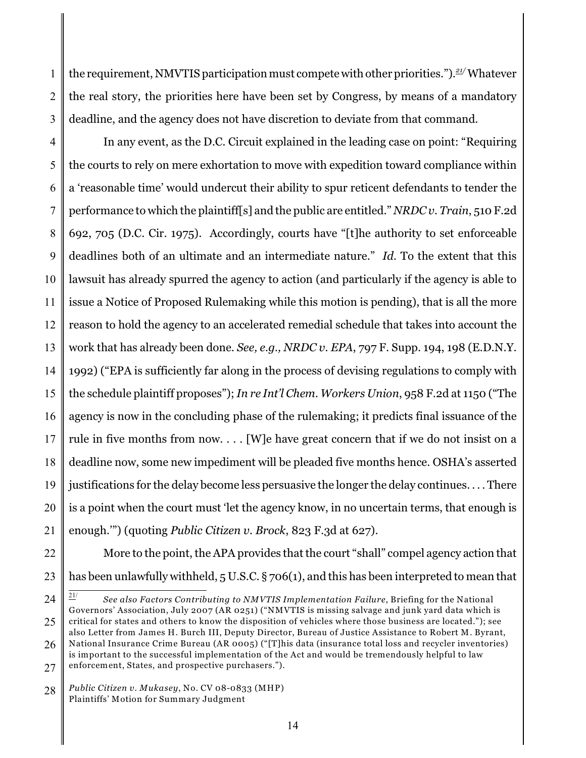1 2 3 the requirement, NMVTIS participation must compete with other priorities.").<sup>21/</sup> Whatever the real story, the priorities here have been set by Congress, by means of a mandatory deadline, and the agency does not have discretion to deviate from that command.

4 5 6 7 8 9 10 11 12 13 14 15 16 17 18 19 20 21 In any event, as the D.C. Circuit explained in the leading case on point: "Requiring the courts to rely on mere exhortation to move with expedition toward compliance within a 'reasonable time' would undercut their ability to spur reticent defendants to tender the performance to which the plaintiff[s] and the public are entitled." *NRDC v. Train*, 510 F.2d 692, 705 (D.C. Cir. 1975). Accordingly, courts have "[t]he authority to set enforceable deadlines both of an ultimate and an intermediate nature." *Id.* To the extent that this lawsuit has already spurred the agency to action (and particularly if the agency is able to issue a Notice of Proposed Rulemaking while this motion is pending), that is all the more reason to hold the agency to an accelerated remedial schedule that takes into account the work that has already been done. *See, e.g., NRDC v. EPA*, 797 F. Supp. 194, 198 (E.D.N.Y. 1992) ("EPA is sufficiently far along in the process of devising regulations to comply with the schedule plaintiff proposes"); *In re Int'l Chem. Workers Union*, 958 F.2d at 1150 ("The agency is now in the concluding phase of the rulemaking; it predicts final issuance of the rule in five months from now. . . . [W]e have great concern that if we do not insist on a deadline now, some new impediment will be pleaded five months hence. OSHA's asserted justifications for the delay become less persuasive the longer the delay continues. . . . There is a point when the court must 'let the agency know, in no uncertain terms, that enough is enough.'") (quoting *Public Citizen v. Brock*, 823 F.3d at 627).

22

23 More to the point, the APA provides that the court "shall" compel agency action that has been unlawfully withheld, 5 U.S.C. § 706(1), and this has been interpreted to mean that

<sup>24</sup>

<sup>25</sup>  $\frac{21}{1}$  See also Factors Contributing to NMVTIS Implementation Failure, Briefing for the National Governors' Association, July 2007 (AR 0251) ("NMVTIS is missing salvage and junk yard data which is critical for states and others to know the disposition of vehicles where those business are located."); see also Letter from James H. Burch III, Deputy Director, Bureau of Justice Assistance to Robert M. Byrant,

<sup>26</sup> 27 National Insurance Crime Bureau (AR 0005) ("[T]his data (insurance total loss and recycler inventories) is important to the successful implementation of the Act and would be tremendously helpful to law enforcement, States, and prospective purchasers.").

<sup>28</sup> *Public Citizen v. Mukasey*, No. CV 08-0833 (MHP) Plaintiffs' Motion for Summary Judgment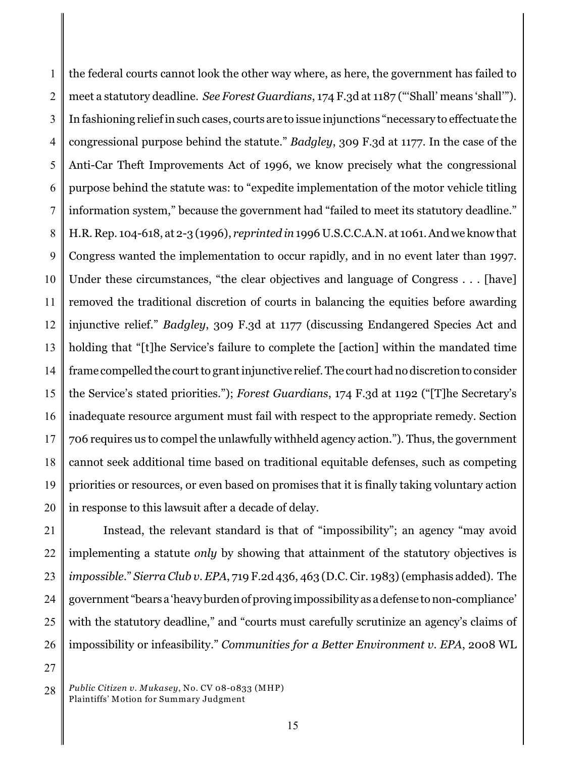1 2 3 4 5 6 7 8 9 10 11 12 13 14 15 16 17 18 19 20 the federal courts cannot look the other way where, as here, the government has failed to meet a statutory deadline. *See Forest Guardians*, 174 F.3d at 1187 ("'Shall' means 'shall'"). In fashioning relief in such cases, courts are to issue injunctions "necessary to effectuate the congressional purpose behind the statute." *Badgley*, 309 F.3d at 1177. In the case of the Anti-Car Theft Improvements Act of 1996, we know precisely what the congressional purpose behind the statute was: to "expedite implementation of the motor vehicle titling information system," because the government had "failed to meet its statutory deadline." H.R. Rep. 104-618, at 2-3 (1996), *reprinted in* 1996 U.S.C.C.A.N. at 1061. And we know that Congress wanted the implementation to occur rapidly, and in no event later than 1997. Under these circumstances, "the clear objectives and language of Congress . . . [have] removed the traditional discretion of courts in balancing the equities before awarding injunctive relief." *Badgley*, 309 F.3d at 1177 (discussing Endangered Species Act and holding that "[t]he Service's failure to complete the [action] within the mandated time frame compelled the court to grant injunctive relief. The court had no discretion to consider the Service's stated priorities."); *Forest Guardians*, 174 F.3d at 1192 ("[T]he Secretary's inadequate resource argument must fail with respect to the appropriate remedy. Section 706 requires us to compel the unlawfully withheld agency action."). Thus, the government cannot seek additional time based on traditional equitable defenses, such as competing priorities or resources, or even based on promises that it is finally taking voluntary action in response to this lawsuit after a decade of delay.

21 22 23 24 25 26 Instead, the relevant standard is that of "impossibility"; an agency "may avoid implementing a statute *only* by showing that attainment of the statutory objectives is *impossible*." *Sierra Club v. EPA*, 719 F.2d 436, 463 (D.C. Cir. 1983)(emphasis added). The government "bears a 'heavy burden of proving impossibility as a defense to non-compliance' with the statutory deadline," and "courts must carefully scrutinize an agency's claims of impossibility or infeasibility." *Communities for a Better Environment v. EPA*, 2008 WL

<sup>27</sup>

<sup>28</sup> *Public Citizen v. Mukasey*, No. CV 08-0833 (MHP) Plaintiffs' Motion for Summary Judgment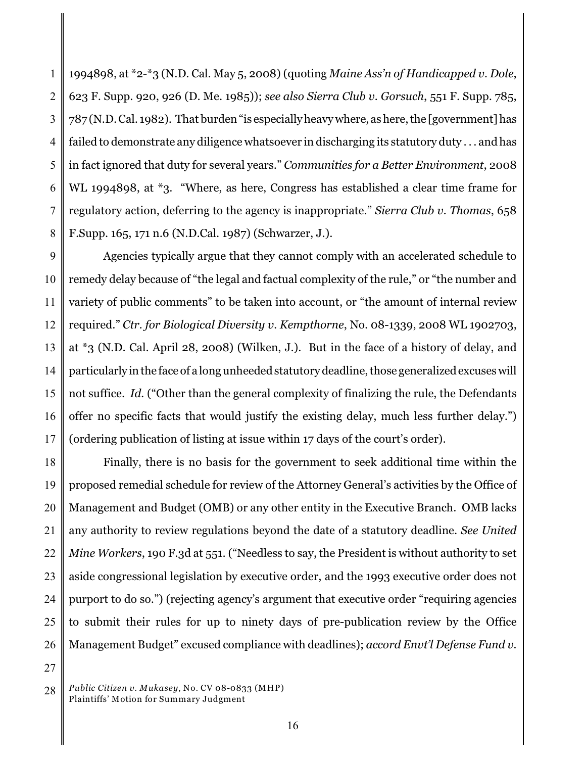1 2 3 4 5 6 7 8 1994898, at \*2-\*3 (N.D. Cal. May 5, 2008) (quoting *Maine Ass'n of Handicapped v. Dole*, 623 F. Supp. 920, 926 (D. Me. 1985)); *see also Sierra Club v. Gorsuch*, 551 F. Supp. 785, 787 (N.D. Cal. 1982). That burden "is especially heavy where, as here, the [government] has failed to demonstrate any diligence whatsoever in discharging its statutory duty . . . and has in fact ignored that duty for several years." *Communities for a Better Environment*, 2008 WL 1994898, at \*3. "Where, as here, Congress has established a clear time frame for regulatory action, deferring to the agency is inappropriate." *Sierra Club v. Thomas*, 658 F.Supp. 165, 171 n.6 (N.D.Cal. 1987) (Schwarzer, J.).

9 10 11 12 13 14 15 16 17 Agencies typically argue that they cannot comply with an accelerated schedule to remedy delay because of "the legal and factual complexity of the rule," or "the number and variety of public comments" to be taken into account, or "the amount of internal review required." *Ctr. for Biological Diversity v. Kempthorne*, No. 08-1339, 2008 WL 1902703, at \*3 (N.D. Cal. April 28, 2008) (Wilken, J.). But in the face of a history of delay, and particularly in the face of a long unheeded statutory deadline, those generalized excuses will not suffice. *Id.* ("Other than the general complexity of finalizing the rule, the Defendants offer no specific facts that would justify the existing delay, much less further delay.") (ordering publication of listing at issue within 17 days of the court's order).

18 19 20 21 22 23 24 25 26 Finally, there is no basis for the government to seek additional time within the proposed remedial schedule for review of the Attorney General's activities by the Office of Management and Budget (OMB) or any other entity in the Executive Branch. OMB lacks any authority to review regulations beyond the date of a statutory deadline. *See United Mine Workers*, 190 F.3d at 551. ("Needless to say, the President is without authority to set aside congressional legislation by executive order, and the 1993 executive order does not purport to do so.") (rejecting agency's argument that executive order "requiring agencies to submit their rules for up to ninety days of pre-publication review by the Office Management Budget" excused compliance with deadlines); *accord Envt'l Defense Fund v.*

<sup>28</sup> *Public Citizen v. Mukasey*, No. CV 08-0833 (MHP) Plaintiffs' Motion for Summary Judgment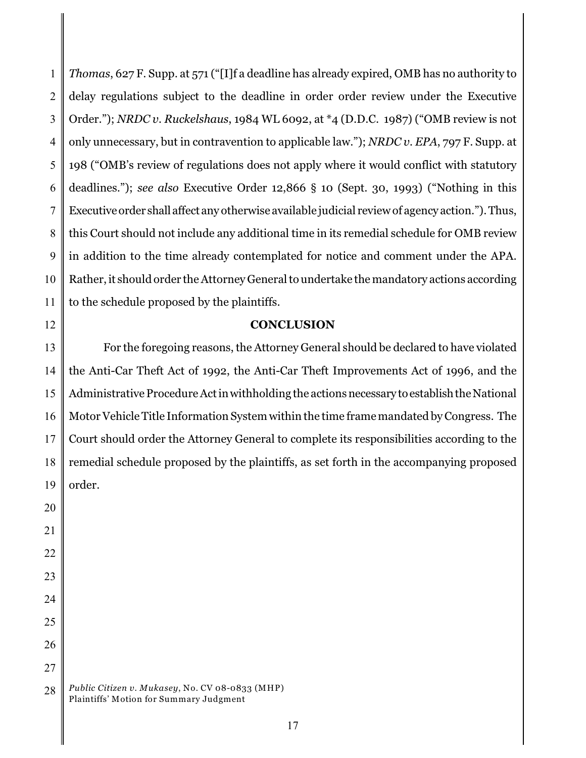1 2 3 4 5 6 7 8 9 10 11 *Thomas*, 627 F. Supp. at 571 ("[I]f a deadline has already expired, OMB has no authority to delay regulations subject to the deadline in order order review under the Executive Order."); *NRDC v. Ruckelshaus*, 1984 WL 6092, at \*4 (D.D.C. 1987) ("OMB review is not only unnecessary, but in contravention to applicable law."); *NRDC v. EPA*, 797 F. Supp. at 198 ("OMB's review of regulations does not apply where it would conflict with statutory deadlines."); *see also* Executive Order 12,866 § 10 (Sept. 30, 1993) ("Nothing in this Executive order shall affect any otherwise available judicial review of agency action."). Thus, this Court should not include any additional time in its remedial schedule for OMB review in addition to the time already contemplated for notice and comment under the APA. Rather, it should order the Attorney General to undertake the mandatory actions according to the schedule proposed by the plaintiffs.

12

20

21

### **CONCLUSION**

13 14 15 16 17 18 19 For the foregoing reasons, the Attorney General should be declared to have violated the Anti-Car Theft Act of 1992, the Anti-Car Theft Improvements Act of 1996, and the Administrative Procedure Act in withholding the actions necessary to establish the National Motor Vehicle Title Information System within the time framemandated by Congress. The Court should order the Attorney General to complete its responsibilities according to the remedial schedule proposed by the plaintiffs, as set forth in the accompanying proposed order.